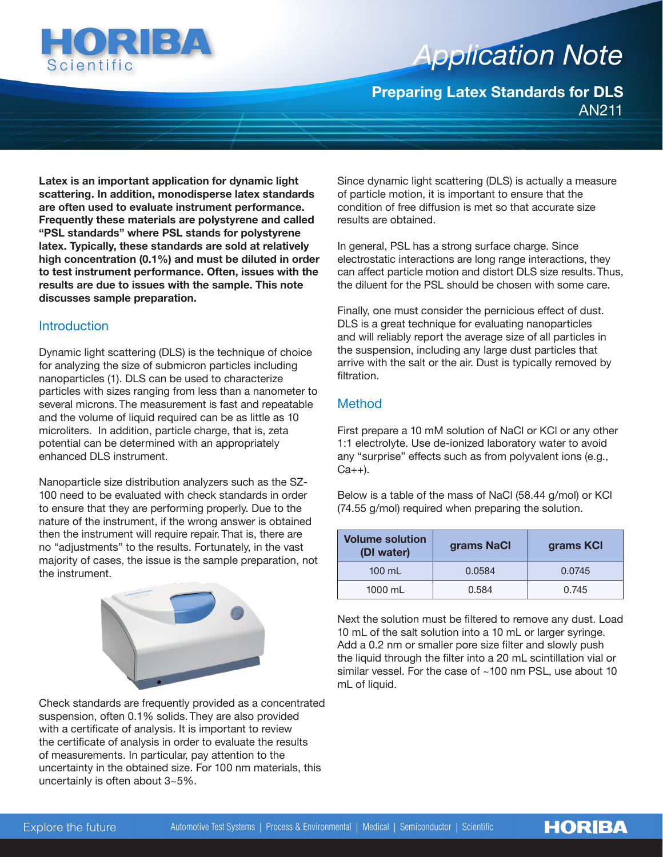

# *Application Note Application Note*

**Preparing Latex Standards for DLS** AN211

**Latex is an important application for dynamic light scattering. In addition, monodisperse latex standards are often used to evaluate instrument performance. Frequently these materials are polystyrene and called "PSL standards" where PSL stands for polystyrene latex. Typically, these standards are sold at relatively high concentration (0.1%) and must be diluted in order to test instrument performance. Often, issues with the results are due to issues with the sample. This note discusses sample preparation.**

### **Introduction**

Dynamic light scattering (DLS) is the technique of choice for analyzing the size of submicron particles including nanoparticles (1). DLS can be used to characterize particles with sizes ranging from less than a nanometer to several microns. The measurement is fast and repeatable and the volume of liquid required can be as little as 10 microliters. In addition, particle charge, that is, zeta potential can be determined with an appropriately enhanced DLS instrument.

Nanoparticle size distribution analyzers such as the SZ-100 need to be evaluated with check standards in order to ensure that they are performing properly. Due to the nature of the instrument, if the wrong answer is obtained then the instrument will require repair. That is, there are no "adjustments" to the results. Fortunately, in the vast majority of cases, the issue is the sample preparation, not the instrument.



Check standards are frequently provided as a concentrated suspension, often 0.1% solids. They are also provided with a certificate of analysis. It is important to review the certificate of analysis in order to evaluate the results of measurements. In particular, pay attention to the uncertainty in the obtained size. For 100 nm materials, this uncertainly is often about 3~5%.

Since dynamic light scattering (DLS) is actually a measure of particle motion, it is important to ensure that the condition of free diffusion is met so that accurate size results are obtained.

In general, PSL has a strong surface charge. Since electrostatic interactions are long range interactions, they can affect particle motion and distort DLS size results. Thus, the diluent for the PSL should be chosen with some care.

Finally, one must consider the pernicious effect of dust. DLS is a great technique for evaluating nanoparticles and will reliably report the average size of all particles in the suspension, including any large dust particles that arrive with the salt or the air. Dust is typically removed by filtration.

## Method

First prepare a 10 mM solution of NaCl or KCl or any other 1:1 electrolyte. Use de-ionized laboratory water to avoid any "surprise" effects such as from polyvalent ions (e.g.,  $Ca++$ ).

Below is a table of the mass of NaCl (58.44 g/mol) or KCl (74.55 g/mol) required when preparing the solution.

| <b>Volume solution</b><br>(DI water) | grams NaCl | grams KCI |
|--------------------------------------|------------|-----------|
| $100$ mL                             | 0.0584     | 0.0745    |
| $1000$ mL                            | 0.584      | 0.745     |

Next the solution must be filtered to remove any dust. Load 10 mL of the salt solution into a 10 mL or larger syringe. Add a 0.2 nm or smaller pore size filter and slowly push the liquid through the filter into a 20 mL scintillation vial or similar vessel. For the case of ~100 nm PSL, use about 10 mL of liquid.

**HORIBA**